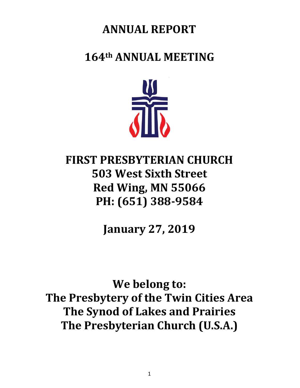# **ANNUAL REPORT**

# **164th ANNUAL MEETING**



# **FIRST PRESBYTERIAN CHURCH 503 West Sixth Street Red Wing, MN 55066 PH: (651) 388-9584**

**January 27, 2019**

**We belong to: The Presbytery of the Twin Cities Area The Synod of Lakes and Prairies The Presbyterian Church (U.S.A.)**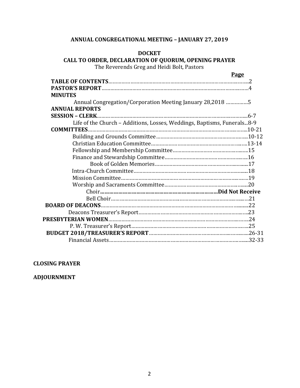#### **ANNUAL CONGREGATIONAL MEETING – JANUARY 27, 2019**

#### **DOCKET**

#### **CALL TO ORDER, DECLARATION OF QUORUM, OPENING PRAYER** The Reverends Greg and Heidi Bolt, Pastors

**Page**

| <b>MINUTES</b>                                                          |  |
|-------------------------------------------------------------------------|--|
| Annual Congregation/Corporation Meeting January 28,2018 5               |  |
| <b>ANNUAL REPORTS</b>                                                   |  |
|                                                                         |  |
| Life of the Church - Additions, Losses, Weddings, Baptisms, Funerals8-9 |  |
|                                                                         |  |
|                                                                         |  |
|                                                                         |  |
|                                                                         |  |
|                                                                         |  |
|                                                                         |  |
|                                                                         |  |
|                                                                         |  |
|                                                                         |  |
|                                                                         |  |
|                                                                         |  |
|                                                                         |  |
|                                                                         |  |
|                                                                         |  |
|                                                                         |  |
|                                                                         |  |
|                                                                         |  |
|                                                                         |  |

#### **CLOSING PRAYER**

**ADJOURNMENT**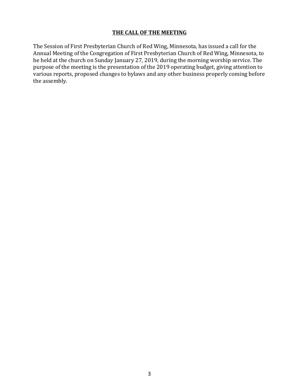#### **THE CALL OF THE MEETING**

The Session of First Presbyterian Church of Red Wing, Minnesota, has issued a call for the Annual Meeting of the Congregation of First Presbyterian Church of Red Wing, Minnesota, to be held at the church on Sunday January 27, 2019, during the morning worship service. The purpose of the meeting is the presentation of the 2019 operating budget, giving attention to various reports, proposed changes to bylaws and any other business properly coming before the assembly.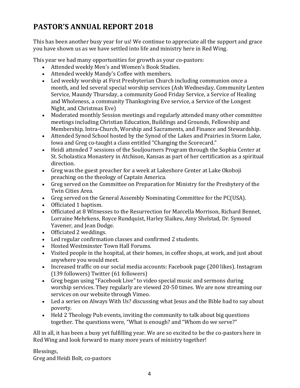# **PASTOR'S ANNUAL REPORT 2018**

This has been another busy year for us! We continue to appreciate all the support and grace you have shown us as we have settled into life and ministry here in Red Wing.

This year we had many opportunities for growth as your co-pastors:

- Attended weekly Men's and Women's Book Studies.
- Attended weekly Mandy's Coffee with members.
- Led weekly worship at First Presbyterian Church including communion once a month, and led several special worship services (Ash Wednesday, Community Lenten Service, Maundy Thursday, a community Good Friday Service, a Service of Healing and Wholeness, a community Thanksgiving Eve service, a Service of the Longest Night, and Christmas Eve)
- Moderated monthly Session meetings and regularly attended many other committee meetings including Christian Education, Buildings and Grounds, Fellowship and Membership, Intra-Church, Worship and Sacraments, and Finance and Stewardship.
- Attended Synod School hosted by the Synod of the Lakes and Prairies in Storm Lake, Iowa and Greg co-taught a class entitled "Changing the Scorecard."
- Heidi attended 7 sessions of the Souljourners Program through the Sophia Center at St. Scholastica Monastery in Atchison, Kansas as part of her certification as a spiritual direction.
- Greg was the guest preacher for a week at Lakeshore Center at Lake Okoboji preaching on the theology of Captain America.
- Greg served on the Committee on Preparation for Ministry for the Presbytery of the Twin Cities Area.
- Greg served on the General Assembly Nominating Committee for the PC(USA).
- Officiated 1 baptism.
- Officiated at 8 Witnesses to the Resurrection for Marcella Morrison, Richard Bennet, Lorraine Mehrkens, Royce Rundquist, Harley Slaikeu, Amy Shelstad, Dr. Symond Yavener, and Jean Dodge.
- Officiated 2 weddings.
- Led regular confirmation classes and confirmed 2 students.
- Hosted Westminster Town Hall Forums.
- Visited people in the hospital, at their homes, in coffee shops, at work, and just about anywhere you would meet.
- Increased traffic on our social media accounts: Facebook page (200 likes). Instagram (139 followers) Twitter (61 followers)
- Greg began using "Facebook Live" to video special music and sermons during worship services. They regularly are viewed 20-50 times. We are now streaming our services on our website through Vimeo.
- Led a series on Always With Us? discussing what Jesus and the Bible had to say about poverty.
- Held 2 Theology Pub events, inviting the community to talk about big questions together. The questions were, "What is enough? and "Whom do we serve?"

All in all, it has been a busy yet fulfilling year. We are so excited to be the co-pastors here in Red Wing and look forward to many more years of ministry together!

Blessings, Greg and Heidi Bolt, co-pastors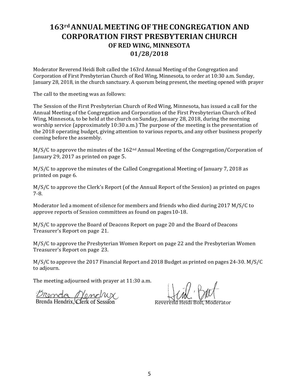### **163rdANNUAL MEETING OFTHE CONGREGATION AND CORPORATION FIRST PRESBYTERIAN CHURCH OF RED WING, MINNESOTA 01/28/2018**

Moderator Reverend Heidi Bolt called the 163rd Annual Meeting of the Congregation and Corporation of First Presbyterian Church of Red Wing, Minnesota, to order at 10:30 a.m. Sunday, January 28, 2018, in the church sanctuary. A quorum being present, the meeting opened with prayer

The call to the meeting was as follows:

The Session of the First Presbyterian Church of Red Wing, Minnesota, has issued a call for the Annual Meeting of the Congregation and Corporation of the First Presbyterian Church of Red Wing, Minnesota, to be held at the church on Sunday, January 28, 2018, during the morning worship service (approximately 10:30 a.m.) The purpose of the meeting is the presentation of the 2018 operating budget, giving attention to various reports, and any other business properly coming before the assembly.

M/S/C to approve the minutes of the  $162<sup>nd</sup>$  Annual Meeting of the Congregation/Corporation of January 29, 2017 as printed on page 5.

M/S/C to approve the minutes of the Called Congregational Meeting of January 7, 2018 as printed on page 6.

M/S/C to approve the Clerk's Report (of the Annual Report of the Session) as printed on pages 7-8.

Moderator led a moment of silence for members and friends who died during 2017 M/S/C to approve reports of Session committees as found on pages10-18.

M/S/C to approve the Board of Deacons Report on page 20 and the Board of Deacons Treasurer's Report on page 21.

M/S/C to approve the Presbyterian Women Report on page 22 and the Presbyterian Women Treasurer's Report on page 23.

M/S/C to approve the 2017 Financial Report and 2018 Budget as printed on pages 24-30. M/S/C to adjourn.

The meeting adjourned with prayer at 11:30 a.m.

 $\frac{D_{\text{Ro}}}{D_{\text{Ro}}}\left(\frac{D_{\text{Ro}}}{D_{\text{Ro}}}\right)$  Reverend Heidi Bolt, Moderator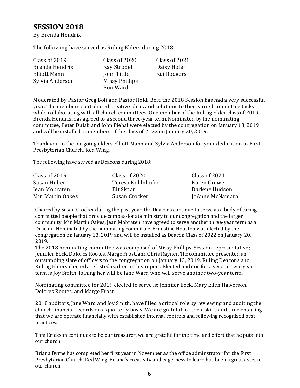### **SESSION 2018**

By Brenda Hendrix

The following have served as Ruling Elders during 2018:

| Class of 2019       | Class of 2020  | Class of 2021 |
|---------------------|----------------|---------------|
| Brenda Hendrix      | Kay Strobel    | Daisy Hofer   |
| <b>Elliott Mann</b> | John Tittle    | Kai Rodgers   |
| Sylvia Anderson     | Missy Phillips |               |
|                     | Ron Ward       |               |

Moderated by Pastor Greg Bolt and Pastor Heidi Bolt, the 2018 Session has had a very successful year. The members contributed creative ideas and solutions to their varied committee tasks while collaborating with all church committees. One member of the Ruling Elder class of 2019, Brenda Hendrix, has agreed to a second three-year term.Nominated by the nominating committee, Peter Dulak and John Plehal were elected by the congregation on January 13, 2019 and will be installed as members of the class of 2022 onJanuary 20, 2019.

Thank you to the outgoing elders Elliott Mann and Sylvia Anderson for your dedication to First Presbyterian Church, Red Wing.

The following have served as Deacons during 2018:

| Class of 2019    | Class of 2020     | Class of 2021   |
|------------------|-------------------|-----------------|
| Susan Huber      | Teresa Kohlnhofer | Karen Grewe     |
| Jean Mobraten    | Bit Skaar         | Darlene Hudson  |
| Min Martin Oakes | Susan Crocker     | JoAnne McNamara |

Chaired by Susan Crocker during the past year, the Deacons continue to serve as a body of caring, committed people that provide compassionate ministry to our congregation and the larger community. Min Martin Oakes, Jean Mobraten have agreed to serve another three-year term as a Deacon. Nominated by the nominating committee, Ernestine Houston was elected by the congregation on January 13, 2019 and will be installed as Deacon Class of 2022 on January 20, 2019.

The 2018 nominating committee was composed of Missy Phillips, Session representative; Jennifer Beck,Dolores Rootes, Marge Frost, andChrisRayner. Thecommittee presented an outstanding slate of officers to the congregation on January 13, 2019. Ruling Deacons and Ruling Elders elected are listed earlier in this report. Elected auditor for a second two-year term is Joy Smith. Joining her will be Jane Ward who will serve another two-year term.

Nominating committee for 2019 elected to serve is: Jennifer Beck, Mary Ellen Halverson, Dolores Rootes, and Marge Frost.

2018 auditors, Jane Ward and Joy Smith, have filled a critical role by reviewing and auditing the church financial records on a quarterly basis. We are grateful for their skills and time ensuring that we are operate financially with established internal controls and following recognized best practices.

Tom Erickson continues to be our treasurer, we are grateful for the time and effort that he puts into our church.

Briana Byrne has completed her first year in November as the office adminstrator for the First Presbyterian Church, Red Wing. Briana's creativity and eagerness to learn has been a great asset to our church.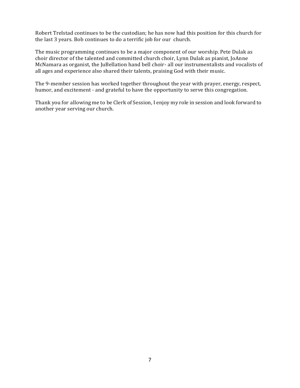Robert Trelstad continues to be the custodian; he has now had this position for this church for the last 3 years. Bob continues to do a terrific job for our church.

The music programming continues to be a major component of our worship. Pete Dulak as choir director of the talented and committed church choir, Lynn Dulak as pianist, JoAnne McNamara as organist, the JuBellation hand bell choir- all our instrumentalists and vocalists of all ages and experience also shared their talents, praising God with their music.

The 9-member session has worked together throughout the year with prayer, energy, respect, humor, and excitement - and grateful to have the opportunity to serve this congregation.

Thank you for allowing me to be Clerk of Session, I enjoy my role in session and look forward to another year serving our church.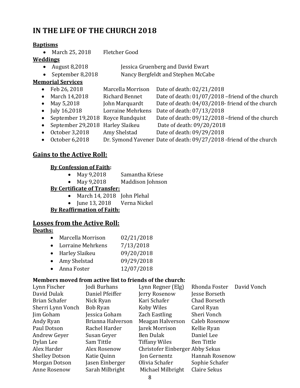### **IN THE LIFE OF THE CHURCH 2018**

#### **Baptisms**

• March 25, 2018Fletcher Good

#### **Weddings**

- August 8,2018 Jessica Gruenberg and David Ewart
	- September 8,2018 Nancy Bergfeldt and Stephen McCabe

#### **Memorial Services**

- Feb 26, 2018 Marcella Morrison Date of death: 02/21/2018 • March 14,2018 Richard Bennet Date of death: 01/07/2018 – friend of the church • May 5,2018 John Marquardt Date of death: 04/03/2018- friend of the church • July 16,2018 Lorraine Mehrkens Date of death: 07/13/2018 • September 19,2018 Royce Rundquist Date of death: 09/12/2018 – friend of the church • September 29,2018 Harley Slaikeu Date of death: 09/20/2018 • October 3,2018 Amy Shelstad Date of death: 09/29/2018
- October 6,2018 Dr. Symond Yavener Date of death: 09/27/2018 -friend of the church

### **Gains to the Active Roll:**

#### **By Confession of Faith:**

- May 9,2018 Samantha Kriese
- May 9,2018 Maddison Johnson

#### **By Certificate of Transfer:**

- March 14, 2018 John Plehal
- June 13, 2018 Verna Nickel

#### **By Reaffirmation of Faith:**

### **Losses from the Active Roll:**

#### **Deaths:**

- Marcella Morrison 02/21/2018
- Lorraine Mehrkens 7/13/2018
- Harley Slaikeu 09/20/2018
- Amy Shelstad 09/29/2018
- Anna Foster 12/07/2018

#### **Members moved from active list to friends of the church:**

| Lynn Fischer          | Jodi Burhans      | Lynn Regner (Elg)               | Rhonda Foster       | David Vonch |
|-----------------------|-------------------|---------------------------------|---------------------|-------------|
| David Dulak           | Daniel Pfeiffer   | Jerry Rosenow                   | Jesse Borseth       |             |
| Brian Schafer         | Nick Ryan         | Kari Schafer                    | <b>Chad Borseth</b> |             |
| Sherri Lynn Vonch     | Bob Ryan          | Koby Wiles                      | Carol Ryan          |             |
| Jim Goham             | Jessica Goham     | Zach Eastling                   | Sheri Vonch         |             |
| Andy Ryan             | Brianna Halverson | Meagan Halverson                | Caleb Rosenow       |             |
| Paul Dotson           | Rachel Harder     | Jarek Morrison                  | Kellie Ryan         |             |
| Andrew Geyer          | Susan Geyer       | Ben Dulak                       | Daniel Lee          |             |
| Dylan Lee             | Sam Tittle        | <b>Tiffany Wiles</b>            | Ben Tittle          |             |
| Alex Harder           | Alex Rosenow      | Christofer Einberger Abby Sekus |                     |             |
| <b>Shelley Dotson</b> | Katie Quinn       | Jon Gernentz                    | Hannah Rosenow      |             |
| Morgan Dotson         | Jasen Einberger   | Olivia Schafer                  | Sophie Schafer      |             |
| <b>Anne Rosenow</b>   | Sarah Milbright   | Michael Milbright               | Claire Sekus        |             |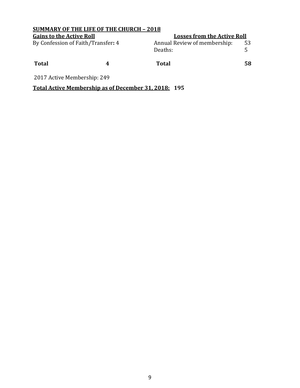| <b>SUMMARY OF THE LIFE OF THE CHURCH - 2018</b> |  |                                         |    |  |  |  |  |
|-------------------------------------------------|--|-----------------------------------------|----|--|--|--|--|
| <b>Gains to the Active Roll</b>                 |  | <b>Losses from the Active Roll</b>      |    |  |  |  |  |
| By Confession of Faith/Transfer: 4              |  | Annual Review of membership:<br>Deaths: | 53 |  |  |  |  |
| <b>Total</b>                                    |  | <b>Total</b>                            | 58 |  |  |  |  |
| 2017 Active Membership: 249                     |  |                                         |    |  |  |  |  |

### **Total Active Membership as of December 31, 2018: 195**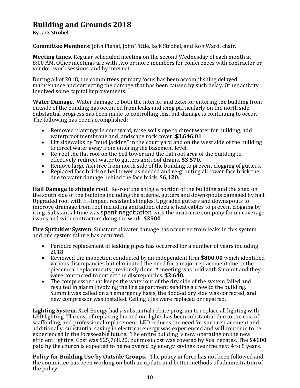### **Building and Grounds 2018**

By Jack Strobel

**Committee Members:** John Plehal, John Tittle, Jack Strobel, and Ron Ward, chair.

**Meeting times.** Regular scheduled meeting on the second Wednesday of each month at 8:00 AM. Other meetings are with two or more members for conferences with contractor or vendor, work sessions, and by internet.

During all of 2018, the committees primary focus has been accomplishing delayed maintenance and correcting the damage that has been caused by such delay. Other activity involved some capital improvements.

**Water Damage.** Water damage to both the interior and exterior entering the building from outside of the building has occurred from leaks and icing particularly on the north side. Substantial progress has been made to controlling this, but damage is continuing to occur. The following has been accomplished:

- Removed plantings in courtyard; raise soil slope to direct water for building, add waterproof membrane and landscape rock cover. **\$3,646.01**
- Lift sidewalks by "mud jacking" in the court yard and on the west side of the building to direct water away from entering the basement level.
- Re-roof the flat roof on the bell tower and the flat roof area of the building to effectively redirect water to gutters and roof drains. **\$3 570.**
- Remove large Ash tree from north side of the building to prevent clogging of gutters.
- Replaced face brick on bell tower as needed and re-grouting all tower face brick the due to water damage behind the face brick. **\$6,120.**

**Hail Damage to shingle roof.** Re-roof the shingle portion of the building and the shed on the south side of the building including the steeple, gutters and downspouts damaged by hail. Upgraded roof with Hi-Impact resistant shingles. Upgraded gutters and downspouts to improve drainage from roof including and added electric heat cables to prevent clogging by icing. Substantial time was spent negotiation with the insurance company for on coverage issues and with contractors doing the work. **\$2500**

**Fire Sprinkler System.** Substantial water damage has occurred from leaks in this system and one system failure has occurred.

- Periodic replacement of leaking pipes has occurred for a number of years including 2018.
- Reviewed the inspection conducted by an independent firm **\$800.00** which identified various discrepancies but eliminated the need for a major replacement due to the piecemeal replacements previously done. A meeting was held with Summit and they were contracted to correct the discrepancies. **\$2,640.**
- The compressor that keeps the water out of the dry side of the system failed and resulted in alarm involving the fire department sending a crew to the building. Summit was called on an emergency basis, the flooded dry side was corrected, and new compressor was installed. Ceiling tiles were replaced or repaired.

**Lighting System.** Xcel Energy had a substantial rebate program to replace all lighting with LED lighting. The cost of replacing burned out lights has been substantial due to the cost of scaffolding, and professional replacement. LED reduces the need for such replacement and additionally, substantial saving in electrical energy was experienced and will continue to be experienced in the foreseeable future. The entire building is now operating on the new efficient lighting. Cost was \$25,768.20, but most cost was covered by Xcel rebates. The **\$4100** paid by the church is expected to be recovered by energy savings over the next 4 to 5 years.

**Policy for Building Use by Outside Groups.** The policy in force has not been followed and the committee has been working on both an update and better methods of administration of the policy.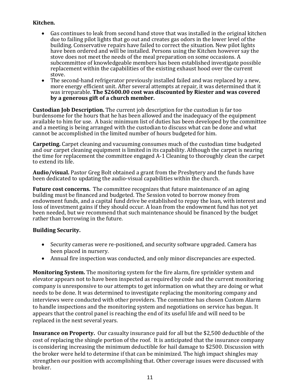#### **Kitchen.**

- Gas continues to leak from second hand stove that was installed in the original kitchen due to failing pilot lights that go out and creates gas odors in the lower level of the building. Conservative repairs have failed to correct the situation. New pilot lights have been ordered and will be installed. Persons using the Kitchen however say the stove does not meet the needs of the meal preparation on some occasions. A subcommittee of knowledgeable members has been established investigate possible replacement within the capabilities of the existing exhaust hood over the current stove.
- The second-hand refrigerator previously installed failed and was replaced by a new, more energy efficient unit. After several attempts at repair, it was determined that it was irreparable. **The \$2600.00 cost was discounted by Riester and was covered by a generous gift of a church member.**

**Custodian Job Description.** The current job description for the custodian is far too burdensome for the hours that he has been allowed and the inadequacy of the equipment available to him for use. A basic minimum list of duties has been developed by the committee and a meeting is being arranged with the custodian to discuss what can be done and what cannot be accomplished in the limited number of hours budgeted for him.

**Carpeting.** Carpet cleaning and vacuuming consumes much of the custodian time budgeted and our carpet cleaning equipment is limited in its capability. Although the carpet is nearing the time for replacement the committee engaged A-1 Cleaning to thoroughly clean the carpet to extend its life.

**Audio/visual.** Pastor Greg Bolt obtained a grant from the Presbytery and the funds have been dedicated to updating the audio-visual capabilities within the church.

**Future cost concerns.** The committee recognizes that future maintenance of an aging building must be financed and budgeted. The Session voted to borrow money from endowment funds, and a capital fund drive be established to repay the loan, with interest and loss of investment gains if they should occur. A loan from the endowment fund has not yet been needed, but we recommend that such maintenance should be financed by the budget rather than borrowing in the future.

#### **Building Security.**

- Security cameras were re-positioned, and security software upgraded. Camera has been placed in nursery.
- Annual fire inspection was conducted, and only minor discrepancies are expected.

**Monitoring System.** The monitoring system for the fire alarm, fire sprinkler system and elevator appears not to have been inspected as required by code and the current monitoring company is unresponsive to our attempts to get information on what they are doing or what needs to be done. It was determined to investigate replacing the monitoring company and interviews were conducted with other providers. The committee has chosen Custom Alarm to handle inspections and the monitoring system and negotiations on service has begun. It appears that the control panel is reaching the end of its useful life and will need to be replaced in the next several years.

**Insurance on Property.** Our casualty insurance paid for all but the \$2,500 deductible of the cost of replacing the shingle portion of the roof. It is anticipated that the insurance company is considering increasing the minimum deductible for hail damage to \$2500. Discussion with the broker were held to determine if that can be minimized. The high impact shingles may strengthen our position with accomplishing that. Other coverage issues were discussed with broker.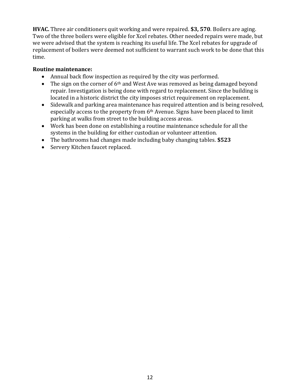**HVAC.** Three air conditioners quit working and were repaired. **\$3, 570**. Boilers are aging. Two of the three boilers were eligible for Xcel rebates. Other needed repairs were made, but we were advised that the system is reaching its useful life. The Xcel rebates for upgrade of replacement of boilers were deemed not sufficient to warrant such work to be done that this time.

#### **Routine maintenance:**

- Annual back flow inspection as required by the city was performed.
- The sign on the corner of  $6<sup>th</sup>$  and West Ave was removed as being damaged beyond repair. Investigation is being done with regard to replacement. Since the building is located in a historic district the city imposes strict requirement on replacement.
- Sidewalk and parking area maintenance has required attention and is being resolved, especially access to the property from 6th Avenue. Signs have been placed to limit parking at walks from street to the building access areas.
- Work has been done on establishing a routine maintenance schedule for all the systems in the building for either custodian or volunteer attention.
- The bathrooms had changes made including baby changing tables. **\$523**
- Servery Kitchen faucet replaced.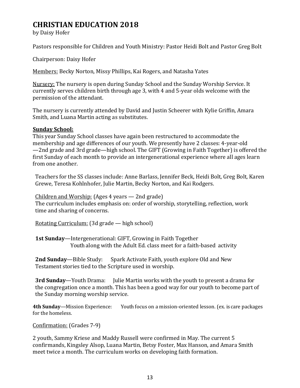### **CHRISTIAN EDUCATION 2018**

by Daisy Hofer

Pastors responsible for Children and Youth Ministry: Pastor Heidi Bolt and Pastor Greg Bolt

Chairperson: Daisy Hofer

Members: Becky Norton, Missy Phillips, Kai Rogers, and Natasha Yates

Nursery: The nursery is open during Sunday School and the Sunday Worship Service. It currently serves children birth through age 3, with 4 and 5-year olds welcome with the permission of the attendant.

The nursery is currently attended by David and Justin Scheerer with Kylie Griffin, Amara Smith, and Luana Martin acting as substitutes.

#### **Sunday School:**

This year Sunday School classes have again been restructured to accommodate the membership and age differences of our youth. We presently have 2 classes: 4-year-old —2nd grade and 3rd grade—high school. The GIFT (Growing in Faith Together) is offered the first Sunday of each month to provide an intergenerational experience where all ages learn from one another.

Teachers for the SS classes include: Anne Barlass, Jennifer Beck, Heidi Bolt, Greg Bolt, Karen Grewe, Teresa Kohlnhofer, Julie Martin, Becky Norton, and Kai Rodgers.

Children and Worship: (Ages 4 years — 2nd grade) The curriculum includes emphasis on: order of worship, storytelling, reflection, work time and sharing of concerns.

Rotating Curriculum: (3d grade — high school)

**1st Sunday**—Intergenerational: GIFT, Growing in Faith Together Youth along with the Adult Ed. class meet for a faith-based activity

**2nd Sunday**—Bible Study: Spark Activate Faith, youth explore Old and New Testament stories tied to the Scripture used in worship.

**3rd Sunday**—Youth Drama: Julie Martin works with the youth to present a drama for the congregation once a month. This has been a good way for our youth to become part of the Sunday morning worship service.

**4th Sunday**—Mission Experience: Youth focus on a mission-oriented lesson. (ex. is care packages for the homeless.

Confirmation: (Grades 7-9)

2 youth, Sammy Kriese and Maddy Russell were confirmed in May. The current 5 confirmands, Kingsley Alsop, Luana Martin, Betsy Foster, Max Hanson, and Amara Smith meet twice a month. The curriculum works on developing faith formation.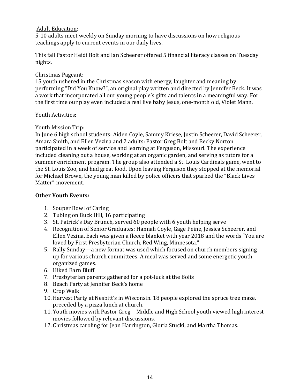#### Adult Education:

5-10 adults meet weekly on Sunday morning to have discussions on how religious teachings apply to current events in our daily lives.

This fall Pastor Heidi Bolt and Ian Scheerer offered 5 financial literacy classes on Tuesday nights.

#### Christmas Pageant:

15 youth ushered in the Christmas season with energy, laughter and meaning by performing "Did You Know?", an original play written and directed by Jennifer Beck. It was a work that incorporated all our young people's gifts and talents in a meaningful way. For the first time our play even included a real live baby Jesus, one-month old, Violet Mann.

#### Youth Activities:

#### Youth Mission Trip:

In June 6 high school students: Aiden Coyle, Sammy Kriese, Justin Scheerer, David Scheerer, Amara Smith, and Ellen Vezina and 2 adults: Pastor Greg Bolt and Becky Norton participated in a week of service and learning at Ferguson, Missouri. The experience included cleaning out a house, working at an organic garden, and serving as tutors for a summer enrichment program. The group also attended a St. Louis Cardinals game, went to the St. Louis Zoo, and had great food. Upon leaving Ferguson they stopped at the memorial for Michael Brown, the young man killed by police officers that sparked the "Black Lives Matter" movement.

#### **Other Youth Events:**

- 1. Souper Bowl of Caring
- 2. Tubing on Buck Hill, 16 participating
- 3. St. Patrick's Day Brunch, served 60 people with 6 youth helping serve
- 4. Recognition of Senior Graduates: Hannah Coyle, Gage Peine, Jessica Scheerer, and Ellen Vezina. Each was given a fleece blanket with year 2018 and the words "You are loved by First Presbyterian Church, Red Wing, Minnesota."
- 5. Rally Sunday—a new format was used which focused on church members signing up for various church committees. A meal was served and some energetic youth organized games.
- 6. Hiked Barn Bluff
- 7. Presbyterian parents gathered for a pot-luck at the Bolts
- 8. Beach Party at Jennifer Beck's home
- 9. Crop Walk
- 10. Harvest Party at Nesbitt's in Wisconsin. 18 people explored the spruce tree maze, preceded by a pizza lunch at church.
- 11. Youth movies with Pastor Greg—Middle and High School youth viewed high interest movies followed by relevant discussions.
- 12. Christmas caroling for Jean Harrington, Gloria Stucki, and Martha Thomas.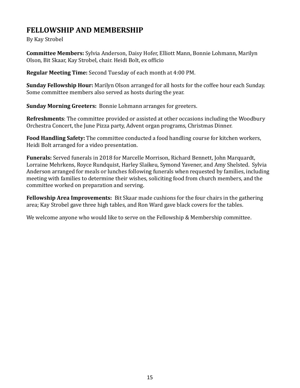### **FELLOWSHIP AND MEMBERSHIP**

By Kay Strobel

**Committee Members:** Sylvia Anderson, Daisy Hofer, Elliott Mann, Bonnie Lohmann, Marilyn Olson, Bit Skaar, Kay Strobel, chair. Heidi Bolt, ex officio

**Regular Meeting Time:** Second Tuesday of each month at 4:00 PM.

**Sunday Fellowship Hour:** Marilyn Olson arranged for all hosts for the coffee hour each Sunday. Some committee members also served as hosts during the year.

**Sunday Morning Greeters:** Bonnie Lohmann arranges for greeters.

**Refreshments**: The committee provided or assisted at other occasions including the Woodbury Orchestra Concert, the June Pizza party, Advent organ programs, Christmas Dinner.

**Food Handling Safety:** The committee conducted a food handling course for kitchen workers, Heidi Bolt arranged for a video presentation.

**Funerals:** Served funerals in 2018 for Marcelle Morrison, Richard Bennett, John Marquardt, Lorraine Mehrkens, Royce Rundquist, Harley Slaikeu, Symond Yavener, and Amy Shelsted. Sylvia Anderson arranged for meals or lunches following funerals when requested by families, including meeting with families to determine their wishes, soliciting food from church members, and the committee worked on preparation and serving.

**Fellowship Area Improvements:** Bit Skaar made cushions for the four chairs in the gathering area; Kay Strobel gave three high tables, and Ron Ward gave black covers for the tables.

We welcome anyone who would like to serve on the Fellowship & Membership committee.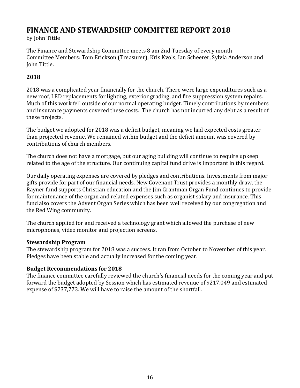### **FINANCE AND STEWARDSHIP COMMITTEE REPORT 2018**

by John Tittle

The Finance and Stewardship Committee meets 8 am 2nd Tuesday of every month Committee Members: Tom Erickson (Treasurer), Kris Kvols, Ian Scheerer, Sylvia Anderson and John Tittle.

### **2018**

2018 was a complicated year financially for the church. There were large expenditures such as a new roof, LED replacements for lighting, exterior grading, and fire suppression system repairs. Much of this work fell outside of our normal operating budget. Timely contributions by members and insurance payments covered these costs. The church has not incurred any debt as a result of these projects.

The budget we adopted for 2018 was a deficit budget, meaning we had expected costs greater than projected revenue. We remained within budget and the deficit amount was covered by contributions of church members.

The church does not have a mortgage, but our aging building will continue to require upkeep related to the age of the structure. Our continuing capital fund drive is important in this regard.

Our daily operating expenses are covered by pledges and contributions. Investments from major gifts provide for part of our financial needs. New Covenant Trust provides a monthly draw, the Rayner fund supports Christian education and the Jim Grantman Organ Fund continues to provide for maintenance of the organ and related expenses such as organist salary and insurance. This fund also covers the Advent Organ Series which has been well received by our congregation and the Red Wing community.

The church applied for and received a technology grant which allowed the purchase of new microphones, video monitor and projection screens.

### **Stewardship Program**

The stewardship program for 2018 was a success. It ran from October to November of this year. Pledges have been stable and actually increased for the coming year.

### **Budget Recommendations for 2018**

The finance committee carefully reviewed the church's financial needs for the coming year and put forward the budget adopted by Session which has estimated revenue of \$217,049 and estimated expense of \$237,773. We will have to raise the amount of the shortfall.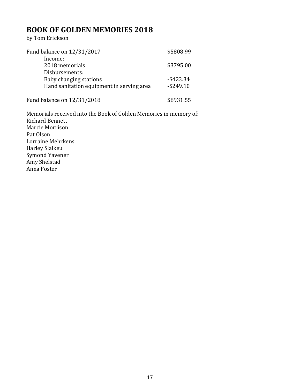### **BOOK OF GOLDEN MEMORIES 2018**

by Tom Erickson

| Fund balance on 12/31/2017                | \$5808.99    |
|-------------------------------------------|--------------|
| Income:<br>2018 memorials                 | \$3795.00    |
| Disbursements:                            |              |
| Baby changing stations                    | $-$ \$423.34 |
| Hand sanitation equipment in serving area | $-$ \$249.10 |
| Fund balance on 12/31/2018                | \$8931.55    |

Memorials received into the Book of Golden Memories in memory of: Richard Bennett Marcie Morrison Pat Olson Lorraine Mehrkens Harley Slaikeu Symond Yavener Amy Shelstad Anna Foster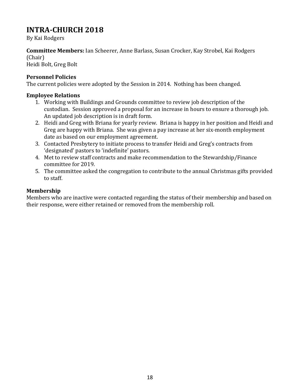### **INTRA-CHURCH 2018**

By Kai Rodgers

**Committee Members:** Ian Scheerer, Anne Barlass, Susan Crocker, Kay Strobel, Kai Rodgers (Chair)

Heidi Bolt, Greg Bolt

#### **Personnel Policies**

The current policies were adopted by the Session in 2014. Nothing has been changed.

#### **Employee Relations**

- 1. Working with Buildings and Grounds committee to review job description of the custodian. Session approved a proposal for an increase in hours to ensure a thorough job. An updated job description is in draft form.
- 2. Heidi and Greg with Briana for yearly review. Briana is happy in her position and Heidi and Greg are happy with Briana. She was given a pay increase at her six-month employment date as based on our employment agreement.
- 3. Contacted Presbytery to initiate process to transfer Heidi and Greg's contracts from 'designated' pastors to 'indefinite' pastors.
- 4. Met to review staff contracts and make recommendation to the Stewardship/Finance committee for 2019.
- 5. The committee asked the congregation to contribute to the annual Christmas gifts provided to staff.

### **Membership**

Members who are inactive were contacted regarding the status of their membership and based on their response, were either retained or removed from the membership roll.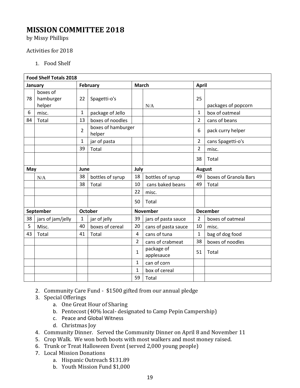### **MISSION COMMITTEE 2018**

by Missy Phillips

#### Activities for 2018

1. Food Shelf

| <b>Food Shelf Totals 2018</b> |                                 |                 |                              |                |                          |                |                       |  |
|-------------------------------|---------------------------------|-----------------|------------------------------|----------------|--------------------------|----------------|-----------------------|--|
|                               | January                         | <b>February</b> |                              | <b>March</b>   |                          |                | <b>April</b>          |  |
| 78                            | boxes of<br>hamburger<br>helper | 22              | Spagetti-o's                 |                | N/A                      | 25             | packages of popcorn   |  |
| 6                             | misc.                           | $\mathbf{1}$    | package of Jello             |                |                          | $\mathbf{1}$   | box of oatmeal        |  |
| 84                            | Total                           | 13              | boxes of noodles             |                |                          | $\overline{2}$ | cans of beans         |  |
|                               |                                 | $\overline{2}$  | boxes of hamburger<br>helper |                |                          | 6              | pack curry helper     |  |
|                               |                                 | $\mathbf{1}$    | jar of pasta                 |                |                          | $\overline{2}$ | cans Spagetti-o's     |  |
|                               |                                 | 39              | Total                        |                |                          | $\overline{2}$ | misc.                 |  |
|                               |                                 |                 |                              |                |                          | 38             | Total                 |  |
| May                           |                                 |                 | June<br>July                 |                |                          | <b>August</b>  |                       |  |
|                               | N/A                             | 38              | bottles of syrup             | 18             | bottles of syrup         | 49             | boxes of Granola Bars |  |
|                               |                                 | 38              | Total                        | 10             | cans baked beans         | 49             | Total                 |  |
|                               |                                 |                 |                              | 22             | misc.                    |                |                       |  |
|                               |                                 |                 |                              | 50             | Total                    |                |                       |  |
|                               | September                       | <b>October</b>  |                              |                | <b>November</b>          |                | <b>December</b>       |  |
| 38                            | jars of jam/jelly               | $\mathbf{1}$    | jar of jelly                 | 39             | jars of pasta sauce      | $\overline{2}$ | boxes of oatmeal      |  |
| 5                             | Misc.                           | 40              | boxes of cereal              | 20             | cans of pasta sauce      | 10             | misc.                 |  |
| 43                            | Total                           | 41              | Total                        | $\overline{4}$ | cans of tuna             | $\mathbf{1}$   | bag of dog food       |  |
|                               |                                 |                 |                              | 2              | cans of crabmeat         | 38             | boxes of noodles      |  |
|                               |                                 |                 |                              | $\mathbf{1}$   | package of<br>applesauce | 51             | Total                 |  |
|                               |                                 |                 |                              | $\mathbf{1}$   | can of corn              |                |                       |  |
|                               |                                 |                 |                              | $\mathbf{1}$   | box of cereal            |                |                       |  |
|                               |                                 |                 |                              | 59             | Total                    |                |                       |  |

- 2. Community Care Fund \$1500 gifted from our annual pledge
- 3. Special Offerings
	- a. One Great Hour of Sharing
	- b. Pentecost (40% local- designated to Camp Pepin Campership)
	- c. Peace and Global Witness
	- d. Christmas Joy
- 4. Community Dinner. Served the Community Dinner on April 8 and November 11
- 5. Crop Walk. We won both boots with most walkers and most money raised.
- 6. Trunk or Treat Halloween Event (served 2,000 young people)
- 7. Local Mission Donations
	- a. Hispanic Outreach \$131.89
	- b. Youth Mission Fund \$1,000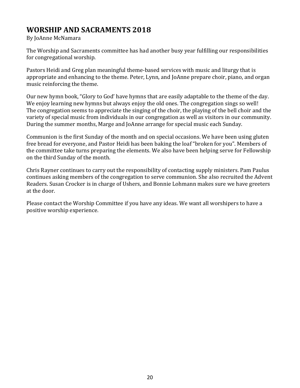### **WORSHIP AND SACRAMENTS 2018**

By JoAnne McNamara

The Worship and Sacraments committee has had another busy year fulfilling our responsibilities for congregational worship.

Pastors Heidi and Greg plan meaningful theme-based services with music and liturgy that is appropriate and enhancing to the theme. Peter, Lynn, and JoAnne prepare choir, piano, and organ music reinforcing the theme.

Our new hymn book, "Glory to God' have hymns that are easily adaptable to the theme of the day. We enjoy learning new hymns but always enjoy the old ones. The congregation sings so well! The congregation seems to appreciate the singing of the choir, the playing of the bell choir and the variety of special music from individuals in our congregation as well as visitors in our community. During the summer months, Marge and JoAnne arrange for special music each Sunday.

Communion is the first Sunday of the month and on special occasions. We have been using gluten free bread for everyone, and Pastor Heidi has been baking the loaf "broken for you". Members of the committee take turns preparing the elements. We also have been helping serve for Fellowship on the third Sunday of the month.

Chris Rayner continues to carry out the responsibility of contacting supply ministers. Pam Paulus continues asking members of the congregation to serve communion. She also recruited the Advent Readers. Susan Crocker is in charge of Ushers, and Bonnie Lohmann makes sure we have greeters at the door.

Please contact the Worship Committee if you have any ideas. We want all worshipers to have a positive worship experience.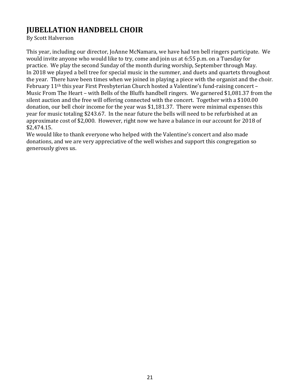## **JUBELLATION HANDBELL CHOIR**

By Scott Halverson

This year, including our director, JoAnne McNamara, we have had ten bell ringers participate. We would invite anyone who would like to try, come and join us at 6:55 p.m. on a Tuesday for practice. We play the second Sunday of the month during worship, September through May. In 2018 we played a bell tree for special music in the summer, and duets and quartets throughout the year. There have been times when we joined in playing a piece with the organist and the choir. February 11th this year First Presbyterian Church hosted a Valentine's fund-raising concert – Music From The Heart – with Bells of the Bluffs handbell ringers. We garnered \$1,081.37 from the silent auction and the free will offering connected with the concert. Together with a \$100.00 donation, our bell choir income for the year was \$1,181.37. There were minimal expenses this year for music totaling \$243.67. In the near future the bells will need to be refurbished at an approximate cost of \$2,000. However, right now we have a balance in our account for 2018 of \$2,474.15.

We would like to thank everyone who helped with the Valentine's concert and also made donations, and we are very appreciative of the well wishes and support this congregation so generously gives us.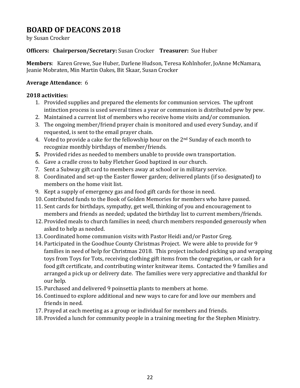## **BOARD OF DEACONS 2018**

by Susan Crocker

#### **Officers: Chairperson/Secretary:** Susan Crocker **Treasurer:** Sue Huber

**Members**: Karen Grewe, Sue Huber, Darlene Hudson, Teresa Kohlnhofer, JoAnne McNamara, Jeanie Mobraten, Min Martin Oakes, Bit Skaar, Susan Crocker

#### **Average Attendance**: 6

#### **2018 activities:**

- 1. Provided supplies and prepared the elements for communion services. The upfront intinction process is used several times a year or communion is distributed pew by pew.
- 2. Maintained a current list of members who receive home visits and/or communion.
- 3. The ongoing member/friend prayer chain is monitored and used every Sunday, and if requested, is sent to the email prayer chain.
- 4. Voted to provide a cake for the fellowship hour on the  $2<sup>nd</sup>$  Sunday of each month to recognize monthly birthdays of member/friends.
- **5.** Provided rides as needed to members unable to provide own transportation.
- 6. Gave a cradle cross to baby Fletcher Good baptized in our church.
- 7. Sent a Subway gift card to members away at school or in military service.
- 8. Coordinated and set-up the Easter flower garden; delivered plants (if so designated) to members on the home visit list.
- 9. Kept a supply of emergency gas and food gift cards for those in need.
- 10. Contributed funds to the Book of Golden Memories for members who have passed.
- 11. Sent cards for birthdays, sympathy, get well, thinking of you and encouragement to members and friends as needed; updated the birthday list to current members/friends.
- 12. Provided meals to church families in need; church members responded generously when asked to help as needed.
- 13. Coordinated home communion visits with Pastor Heidi and/or Pastor Greg.
- 14. Participated in the Goodhue County Christmas Project. We were able to provide for 9 families in need of help for Christmas 2018. This project included picking up and wrapping toys from Toys for Tots, receiving clothing gift items from the congregation, or cash for a food gift certificate, and contributing winter knitwear items. Contacted the 9 families and arranged a pick up or delivery date. The families were very appreciative and thankful for our help.
- 15. Purchased and delivered 9 poinsettia plants to members at home.
- 16. Continued to explore additional and new ways to care for and love our members and friends in need.
- 17. Prayed at each meeting as a group or individual for members and friends.
- 18. Provided a lunch for community people in a training meeting for the Stephen Ministry.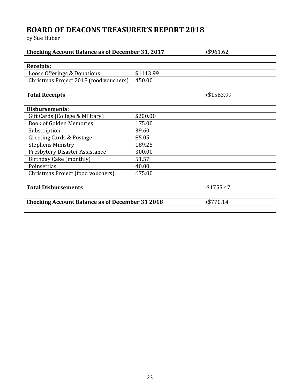# **BOARD OF DEACONS TREASURER'S REPORT 2018**

by Sue Huber

| <b>Checking Account Balance as of December 31, 2017</b> |           | $+$ \$961.62 |
|---------------------------------------------------------|-----------|--------------|
|                                                         |           |              |
| <b>Receipts:</b>                                        |           |              |
| Loose Offerings & Donations                             | \$1113.99 |              |
| Christmas Project 2018 (food vouchers)                  | 450.00    |              |
|                                                         |           |              |
| <b>Total Receipts</b>                                   |           | +\$1563.99   |
|                                                         |           |              |
| <b>Disbursements:</b>                                   |           |              |
| Gift Cards (College & Military)                         | \$200.00  |              |
| <b>Book of Golden Memories</b>                          | 175.00    |              |
| Subscription                                            | 39.60     |              |
| Greeting Cards & Postage                                | 85.05     |              |
| <b>Stephens Ministry</b>                                | 189.25    |              |
| Presbytery Disaster Assistance                          | 300.00    |              |
| Birthday Cake (monthly)                                 | 51.57     |              |
| Poinsettias                                             | 40.00     |              |
| Christmas Project (food vouchers)                       | 675.00    |              |
|                                                         |           |              |
| <b>Total Disbursements</b>                              |           | $-$1755.47$  |
|                                                         |           |              |
| <b>Checking Account Balance as of December 31 2018</b>  |           | $+ $770.14$  |
|                                                         |           |              |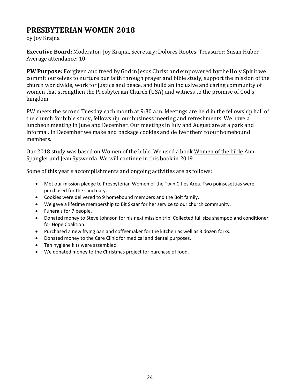### **PRESBYTERIAN WOMEN 2018**

by Joy Krajna

**Executive Board:** Moderator: Joy Krajna, Secretary: Dolores Rootes, Treasurer: Susan Huber Average attendance: 10

**PW Purpose:** Forgiven and freed by God in Jesus Christ and empowered by the Holy Spirit we commit ourselves to nurture our faith through prayer and bible study, support the mission of the church worldwide, work for justice and peace, and build an inclusive and caring community of women that strengthen the Presbyterian Church (USA) and witness to the promise of God's kingdom.

PW meets the second Tuesday each month at 9:30 a.m. Meetings are held in the fellowship hall of the church for bible study, fellowship, our business meeting and refreshments. We have a luncheon meeting in June and December. Our meetings in July and August are at a park and informal. In December we make and package cookies and deliver them toour homebound members.

Our 2018 study was based on Women of the bible. We used a book Women of the bible Ann Spangler and Jean Syswerda. We will continue in this book in 2019.

Some of this year's accomplishments and ongoing activities are as follows:

- Met our mission pledge to Presbyterian Women of the Twin Cities Area. Two poinsesettias were purchased for the sanctuary.
- Cookies were delivered to 9 homebound members and the Bolt family.
- We gave a lifetime membership to Bit Skaar for her service to our church community.
- Funerals for 7 people.
- Donated money to Steve Johnson for his next mission trip. Collected full size shampoo and conditioner for Hope Coalition.
- Purchased a new frying pan and coffeemaker for the kitchen as well as 3 dozen forks.
- Donated money to the Care Clinic for medical and dental purposes.
- Ten hygiene kits were assembled.
- We donated money to the Christmas project for purchase of food.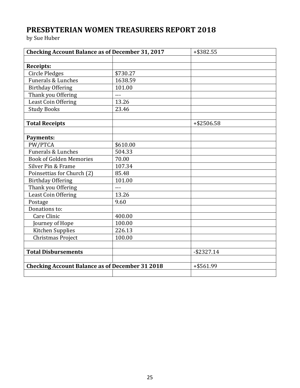# **PRESBYTERIAN WOMEN TREASURERS REPORT 2018**

by Sue Huber

| <b>Checking Account Balance as of December 31, 2017</b> |          | $+$ \$382.55  |
|---------------------------------------------------------|----------|---------------|
|                                                         |          |               |
| Receipts:                                               |          |               |
| <b>Circle Pledges</b>                                   | \$730.27 |               |
| Funerals & Lunches                                      | 1638.59  |               |
| <b>Birthday Offering</b>                                | 101.00   |               |
| Thank you Offering                                      | $---$    |               |
| Least Coin Offering                                     | 13.26    |               |
| <b>Study Books</b>                                      | 23.46    |               |
|                                                         |          |               |
| <b>Total Receipts</b>                                   |          | +\$2506.58    |
|                                                         |          |               |
| <b>Payments:</b>                                        |          |               |
| PW/PTCA                                                 | \$610.00 |               |
| <b>Funerals &amp; Lunches</b>                           | 504.33   |               |
| <b>Book of Golden Memories</b>                          | 70.00    |               |
| Silver Pin & Frame                                      | 107.34   |               |
| Poinsettias for Church (2)                              | 85.48    |               |
| <b>Birthday Offering</b>                                | 101.00   |               |
| Thank you Offering                                      | $-$ --   |               |
| Least Coin Offering                                     | 13.26    |               |
| Postage                                                 | 9.60     |               |
| Donations to:                                           |          |               |
| Care Clinic                                             | 400.00   |               |
| Journey of Hope                                         | 100.00   |               |
| Kitchen Supplies                                        | 226.13   |               |
| Christmas Project                                       | 100.00   |               |
|                                                         |          |               |
| <b>Total Disbursements</b>                              |          | $-$ \$2327.14 |
|                                                         |          |               |
| <b>Checking Account Balance as of December 31 2018</b>  |          | +\$561.99     |
|                                                         |          |               |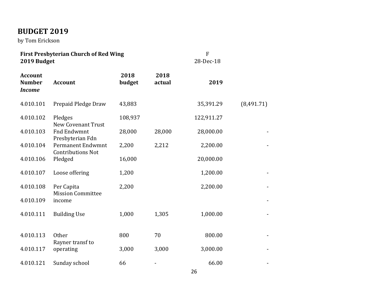# **BUDGET 2019**

by Tom Erickson

| 2019 Budget                                      | <b>First Presbyterian Church of Red Wing</b>         |                |                | F<br>28-Dec-18 |            |
|--------------------------------------------------|------------------------------------------------------|----------------|----------------|----------------|------------|
| <b>Account</b><br><b>Number</b><br><b>Income</b> | <b>Account</b>                                       | 2018<br>budget | 2018<br>actual | 2019           |            |
| 4.010.101                                        | Prepaid Pledge Draw                                  | 43,883         |                | 35,391.29      | (8,491.71) |
| 4.010.102                                        | Pledges<br><b>New Covenant Trust</b>                 | 108,937        |                | 122,911.27     |            |
| 4.010.103                                        | <b>Fnd Endwmnt</b><br>Presbyterian Fdn               | 28,000         | 28,000         | 28,000.00      |            |
| 4.010.104                                        | <b>Permanent Endwmnt</b><br><b>Contributions Not</b> | 2,200          | 2,212          | 2,200.00       |            |
| 4.010.106                                        | Pledged                                              | 16,000         |                | 20,000.00      |            |
| 4.010.107                                        | Loose offering                                       | 1,200          |                | 1,200.00       |            |
| 4.010.108                                        | Per Capita<br><b>Mission Committee</b>               | 2,200          |                | 2,200.00       |            |
| 4.010.109                                        | income                                               |                |                |                |            |
| 4.010.111                                        | <b>Building Use</b>                                  | 1,000          | 1,305          | 1,000.00       |            |
|                                                  |                                                      |                |                |                |            |
| 4.010.113                                        | <b>Other</b><br>Rayner transf to                     | 800            | 70             | 800.00         |            |
| 4.010.117                                        | operating                                            | 3,000          | 3,000          | 3,000.00       |            |
| 4.010.121                                        | Sunday school                                        | 66             |                | 66.00          |            |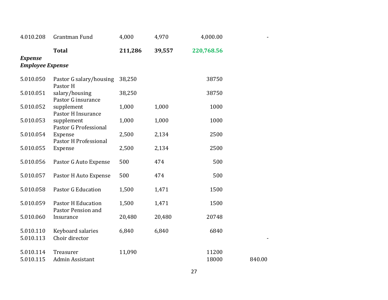| 4.010.208                                 | Grantman Fund                                   | 4,000   | 4,970  | 4,000.00       |        |  |  |  |  |  |
|-------------------------------------------|-------------------------------------------------|---------|--------|----------------|--------|--|--|--|--|--|
|                                           | <b>Total</b>                                    | 211,286 | 39,557 | 220,768.56     |        |  |  |  |  |  |
| <b>Expense</b><br><b>Employee Expense</b> |                                                 |         |        |                |        |  |  |  |  |  |
|                                           |                                                 |         |        |                |        |  |  |  |  |  |
| 5.010.050                                 | Pastor G salary/housing<br>Pastor H             | 38,250  |        | 38750          |        |  |  |  |  |  |
| 5.010.051                                 | salary/housing<br>Pastor G insurance            | 38,250  |        | 38750          |        |  |  |  |  |  |
| 5.010.052                                 | supplement<br>Pastor H Insurance                | 1,000   | 1,000  | 1000           |        |  |  |  |  |  |
| 5.010.053                                 | supplement<br>Pastor G Professional             | 1,000   | 1,000  | 1000           |        |  |  |  |  |  |
| 5.010.054                                 | Expense<br>Pastor H Professional                | 2,500   | 2,134  | 2500           |        |  |  |  |  |  |
| 5.010.055                                 | Expense                                         | 2,500   | 2,134  | 2500           |        |  |  |  |  |  |
| 5.010.056                                 | Pastor G Auto Expense                           | 500     | 474    | 500            |        |  |  |  |  |  |
| 5.010.057                                 | Pastor H Auto Expense                           | 500     | 474    | 500            |        |  |  |  |  |  |
| 5.010.058                                 | <b>Pastor G Education</b>                       | 1,500   | 1,471  | 1500           |        |  |  |  |  |  |
| 5.010.059                                 | <b>Pastor H Education</b><br>Pastor Pension and | 1,500   | 1,471  | 1500           |        |  |  |  |  |  |
| 5.010.060                                 | Insurance                                       | 20,480  | 20,480 | 20748          |        |  |  |  |  |  |
| 5.010.110<br>5.010.113                    | Keyboard salaries<br>Choir director             | 6,840   | 6,840  | 6840           |        |  |  |  |  |  |
| 5.010.114<br>5.010.115                    | Treasurer<br>Admin Assistant                    | 11,090  |        | 11200<br>18000 | 840.00 |  |  |  |  |  |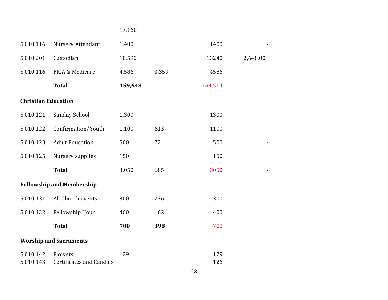### 17,160

| 5.010.116                  | Nursery Attendant                | 1,400   |       | 1400    |          |
|----------------------------|----------------------------------|---------|-------|---------|----------|
| 5.010.201                  | Custodian                        | 10,592  |       | 13240   | 2,648.00 |
| 5.010.116                  | FICA & Medicare                  | 4,586   | 3,359 | 4586    |          |
|                            | <b>Total</b>                     | 159,648 |       | 164,514 |          |
| <b>Christian Education</b> |                                  |         |       |         |          |
| 5.010.121                  | <b>Sunday School</b>             | 1,300   |       | 1300    |          |
| 5.010.122                  | Confirmation/Youth               | 1,100   | 613   | 1100    |          |
| 5.010.123                  | <b>Adult Education</b>           | 500     | 72    | 500     |          |
| 5.010.125                  | Nursery supplies                 | 150     |       | 150     |          |
|                            | <b>Total</b>                     | 3,050   | 685   | 3050    |          |
|                            | <b>Fellowship and Membership</b> |         |       |         |          |
| 5.010.131                  | All Church events                | 300     | 236   | 300     |          |
| 5.010.132                  | Fellowship Hour                  | 400     | 162   | 400     |          |
|                            | <b>Total</b>                     | 700     | 398   | 700     |          |
|                            | <b>Worship and Sacraments</b>    |         |       |         |          |
| 5.010.142                  | Flowers                          | 129     |       | 129     |          |
| 5.010.143                  | <b>Certificates and Candles</b>  |         |       | 126     |          |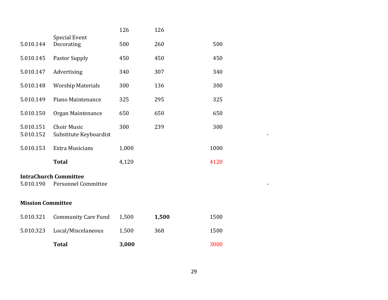|                                                                         |                                              | 126   | 126   |      |  |  |
|-------------------------------------------------------------------------|----------------------------------------------|-------|-------|------|--|--|
| 5.010.144                                                               | <b>Special Event</b><br>Decorating           | 500   | 260   | 500  |  |  |
| 5.010.145                                                               | <b>Pastor Supply</b>                         | 450   | 450   | 450  |  |  |
| 5.010.147                                                               | Advertising                                  | 340   | 307   | 340  |  |  |
| 5.010.148                                                               | <b>Worship Materials</b>                     | 300   | 136   | 300  |  |  |
| 5.010.149                                                               | Piano Maintenance                            | 325   | 295   | 325  |  |  |
| 5.010.150                                                               | Organ Maintenance                            | 650   | 650   | 650  |  |  |
| 5.010.151<br>5.010.152                                                  | <b>Choir Music</b><br>Substitute Keyboardist | 300   | 239   | 300  |  |  |
| 5.010.153                                                               | <b>Extra Musicians</b>                       | 1,000 |       | 1000 |  |  |
|                                                                         | <b>Total</b>                                 | 4,120 |       | 4120 |  |  |
| <b>IntraChurch Committee</b><br><b>Personnel Committee</b><br>5.010.190 |                                              |       |       |      |  |  |
| <b>Mission Committee</b>                                                |                                              |       |       |      |  |  |
| 5.010.321                                                               | <b>Community Care Fund</b>                   | 1,500 | 1,500 | 1500 |  |  |
| 5.010.323                                                               | Local/Miscelaneous                           | 1,500 | 368   | 1500 |  |  |
|                                                                         | <b>Total</b>                                 | 3,000 |       | 3000 |  |  |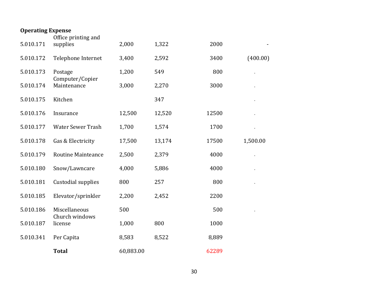| <b>Operating Expense</b> | Office printing and        |           |        |       |          |
|--------------------------|----------------------------|-----------|--------|-------|----------|
| 5.010.171                | supplies                   | 2,000     | 1,322  | 2000  |          |
| 5.010.172                | Telephone Internet         | 3,400     | 2,592  | 3400  | (400.00) |
| 5.010.173                | Postage<br>Computer/Copier | 1,200     | 549    | 800   |          |
| 5.010.174                | Maintenance                | 3,000     | 2,270  | 3000  |          |
| 5.010.175                | Kitchen                    |           | 347    |       |          |
| 5.010.176                | Insurance                  | 12,500    | 12,520 | 12500 |          |
| 5.010.177                | <b>Water Sewer Trash</b>   | 1,700     | 1,574  | 1700  |          |
| 5.010.178                | Gas & Electricity          | 17,500    | 13,174 | 17500 | 1,500.00 |
| 5.010.179                | <b>Routine Mainteance</b>  | 2,500     | 2,379  | 4000  |          |
| 5.010.180                | Snow/Lawncare              | 4,000     | 5,886  | 4000  |          |
| 5.010.181                | Custodial supplies         | 800       | 257    | 800   |          |
| 5.010.185                | Elevator/sprinkler         | 2,200     | 2,452  | 2200  |          |
| 5.010.186                | Miscellaneous              | 500       |        | 500   |          |
| 5.010.187                | Church windows<br>license  | 1,000     | 800    | 1000  |          |
| 5.010.341                | Per Capita                 | 8,583     | 8,522  | 8,889 |          |
|                          | <b>Total</b>               | 60,883.00 |        | 62289 |          |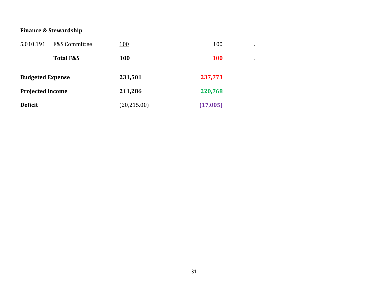### **Finance & Stewardship**

| 5.010.191               | <b>F&amp;S Committee</b> | <u>100</u>   | 100        | $\overline{\phantom{a}}$ |
|-------------------------|--------------------------|--------------|------------|--------------------------|
|                         | <b>Total F&amp;S</b>     | 100          | <b>100</b> | $\overline{\phantom{a}}$ |
| <b>Budgeted Expense</b> |                          | 231,501      | 237,773    |                          |
| <b>Projected income</b> |                          | 211,286      | 220,768    |                          |
| <b>Deficit</b>          |                          | (20, 215.00) | (17,005)   |                          |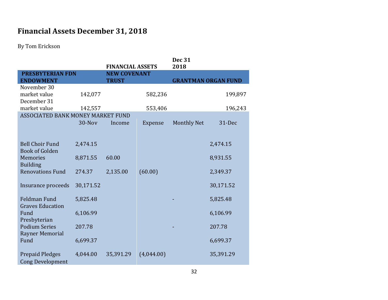# **Financial Assets December 31, 2018**

By Tom Erickson

|                                          |                                                |              |            | <b>Dec 31</b><br>2018 |                            |
|------------------------------------------|------------------------------------------------|--------------|------------|-----------------------|----------------------------|
| <b>PRESBYTERIAN FDN</b>                  | <b>FINANCIAL ASSETS</b><br><b>NEW COVENANT</b> |              |            |                       |                            |
| <b>ENDOWMENT</b>                         |                                                | <b>TRUST</b> |            |                       | <b>GRANTMAN ORGAN FUND</b> |
| November 30                              |                                                |              |            |                       |                            |
| market value                             | 142,077                                        |              | 582,236    |                       | 199,897                    |
| December 31                              |                                                |              |            |                       |                            |
| market value                             | 142,557                                        |              | 553,406    |                       | 196,243                    |
| <b>ASSOCIATED BANK MONEY MARKET FUND</b> |                                                |              |            |                       |                            |
|                                          | 30-Nov                                         | Income       | Expense    | <b>Monthly Net</b>    | 31-Dec                     |
|                                          |                                                |              |            |                       |                            |
|                                          |                                                |              |            |                       |                            |
| <b>Bell Choir Fund</b>                   | 2,474.15                                       |              |            |                       | 2,474.15                   |
| <b>Book of Golden</b>                    |                                                |              |            |                       |                            |
| <b>Memories</b>                          | 8,871.55                                       | 60.00        |            |                       | 8,931.55                   |
| <b>Building</b>                          |                                                |              |            |                       |                            |
| <b>Renovations Fund</b>                  | 274.37                                         | 2,135.00     | (60.00)    |                       | 2,349.37                   |
|                                          |                                                |              |            |                       |                            |
| Insurance proceeds                       | 30,171.52                                      |              |            |                       | 30,171.52                  |
|                                          |                                                |              |            |                       |                            |
| <b>Feldman Fund</b>                      | 5,825.48                                       |              |            |                       | 5,825.48                   |
| <b>Graves Education</b>                  |                                                |              |            |                       |                            |
| Fund                                     | 6,106.99                                       |              |            |                       | 6,106.99                   |
| Presbyterian                             |                                                |              |            |                       |                            |
| <b>Podium Series</b>                     | 207.78                                         |              |            |                       | 207.78                     |
| Rayner Memorial                          |                                                |              |            |                       |                            |
| Fund                                     | 6,699.37                                       |              |            |                       | 6,699.37                   |
|                                          |                                                |              |            |                       |                            |
| <b>Prepaid Pledges</b>                   | 4,044.00                                       | 35,391.29    | (4,044.00) |                       | 35,391.29                  |
| <b>Cong Development</b>                  |                                                |              |            |                       |                            |
|                                          |                                                |              |            |                       |                            |